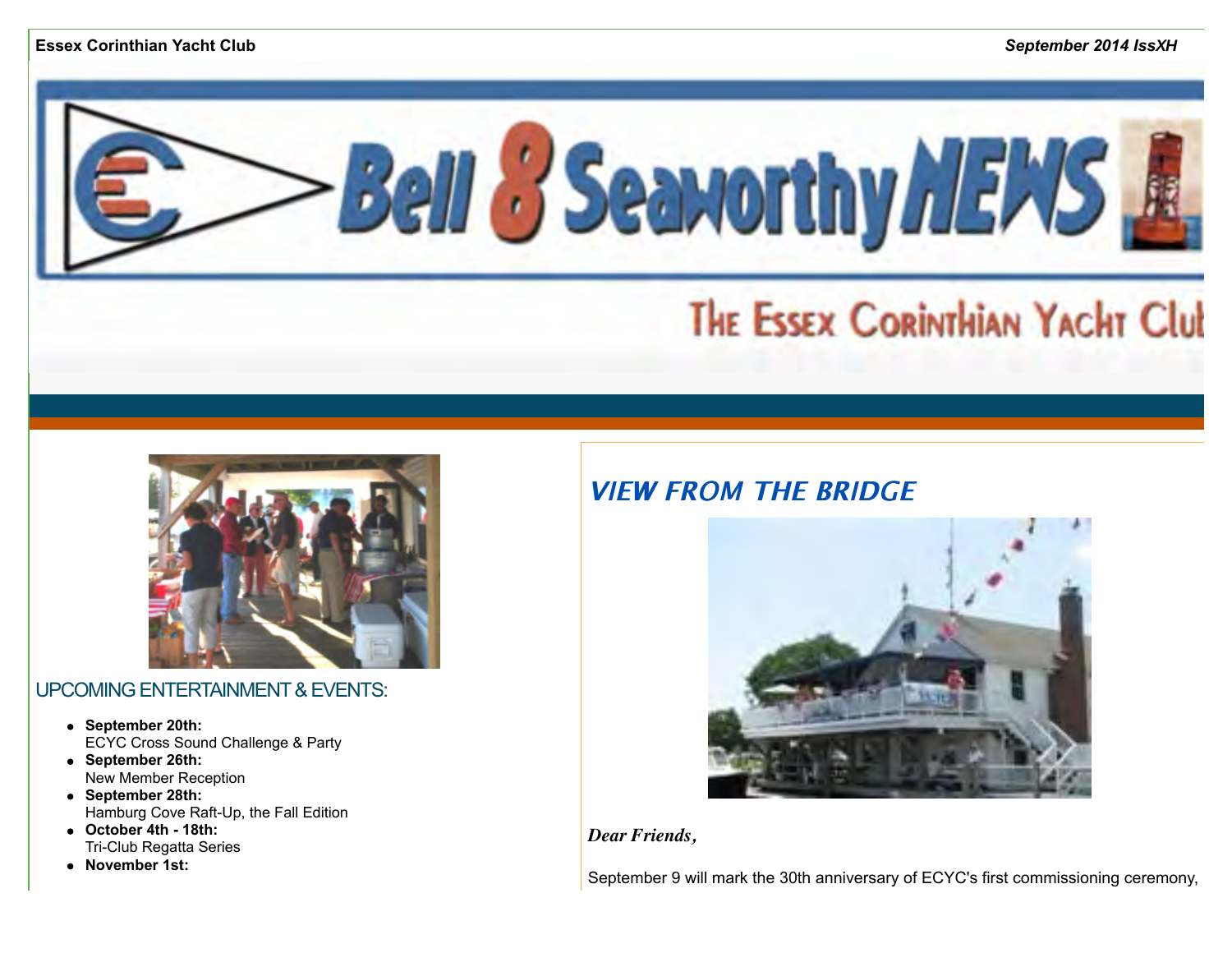



### UPCOMING ENTERTAINMENT & EVENTS:

- **September 20th:** ECYC Cross Sound Challenge & Party
- **September 26th:** New Member Reception
- **September 28th:** Hamburg Cove Raft-Up, the Fall Edition
- **October 4th 18th:**  Tri-Club Regatta Series
- **November 1st:**

# **VIFW FROM THE BRIDGE**



*Dear Friends,*

September 9 will mark the 30th anniversary of ECYC's first commissioning ceremony,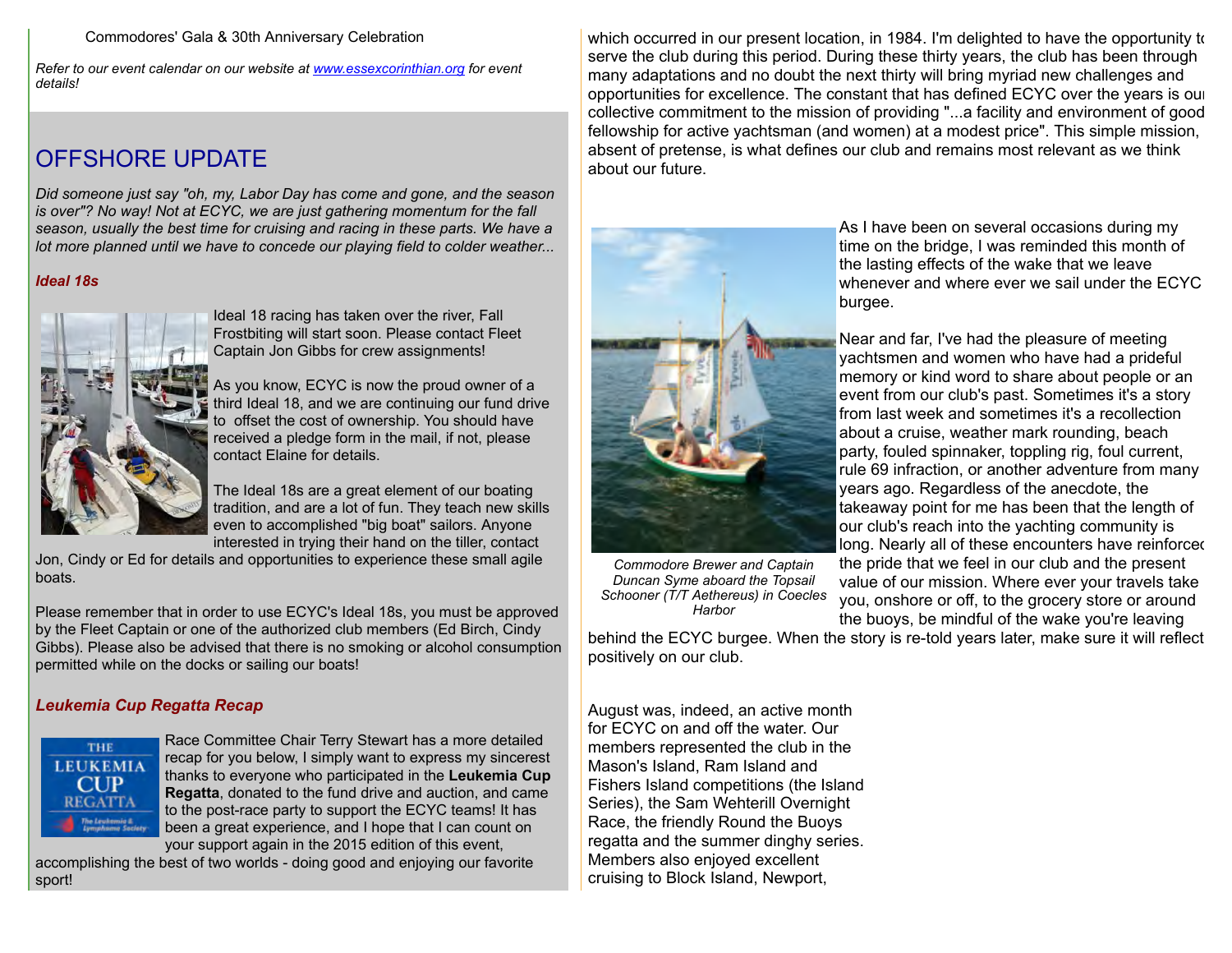Commodores' Gala & 30th Anniversary Celebration

*Refer to our event calendar on our website at [www.essexcorinthian.org](http://r20.rs6.net/tn.jsp?e=001RNYBZjcC5Wpx7TGIhtCMEf30X1HBmINZKCpInLdwx3GRVXogPSz0DO3IeVPcouwYg0zcKL4m6xSMf4bVuv7GVrLkiMBnk8Y93QP942ddjOy052YB3A3LiA==) for event details!*

# OFFSHORE UPDATE

*Did someone just say "oh, my, Labor Day has come and gone, and the season is over"? No way! Not at ECYC, we are just gathering momentum for the fall season, usually the best time for cruising and racing in these parts. We have a lot more planned until we have to concede our playing field to colder weather...* 

#### *Ideal 18s*



Ideal 18 racing has taken over the river, Fall Frostbiting will start soon. Please contact Fleet Captain Jon Gibbs for crew assignments!

As you know, ECYC is now the proud owner of a third Ideal 18, and we are continuing our fund drive to offset the cost of ownership. You should have received a pledge form in the mail, if not, please contact Elaine for details.

The Ideal 18s are a great element of our boating tradition, and are a lot of fun. They teach new skills even to accomplished "big boat" sailors. Anyone interested in trying their hand on the tiller, contact

Jon, Cindy or Ed for details and opportunities to experience these small agile boats.

Please remember that in order to use ECYC's Ideal 18s, you must be approved by the Fleet Captain or one of the authorized club members (Ed Birch, Cindy Gibbs). Please also be advised that there is no smoking or alcohol consumption permitted while on the docks or sailing our boats!

### *Leukemia Cup Regatta Recap*



Race Committee Chair Terry Stewart has a more detailed recap for you below, I simply want to express my sincerest thanks to everyone who participated in the **Leukemia Cup Regatta**, donated to the fund drive and auction, and came to the post-race party to support the ECYC teams! It has been a great experience, and I hope that I can count on your support again in the 2015 edition of this event,

accomplishing the best of two worlds - doing good and enjoying our favorite sport!

which occurred in our present location, in 1984. I'm delighted to have the opportunity to serve the club during this period. During these thirty years, the club has been through many adaptations and no doubt the next thirty will bring myriad new challenges and opportunities for excellence. The constant that has defined ECYC over the years is our collective commitment to the mission of providing "...a facility and environment of good fellowship for active yachtsman (and women) at a modest price". This simple mission, absent of pretense, is what defines our club and remains most relevant as we think about our future.



*Commodore Brewer and Captain Duncan Syme aboard the Topsail Schooner (T/T Aethereus) in Coecles Harbor*

As I have been on several occasions during my time on the bridge, I was reminded this month of the lasting effects of the wake that we leave whenever and where ever we sail under the ECYC burgee.

Near and far, I've had the pleasure of meeting yachtsmen and women who have had a prideful memory or kind word to share about people or an event from our club's past. Sometimes it's a story from last week and sometimes it's a recollection about a cruise, weather mark rounding, beach party, fouled spinnaker, toppling rig, foul current, rule 69 infraction, or another adventure from many years ago. Regardless of the anecdote, the takeaway point for me has been that the length of our club's reach into the yachting community is long. Nearly all of these encounters have reinforced the pride that we feel in our club and the present value of our mission. Where ever your travels take you, onshore or off, to the grocery store or around the buoys, be mindful of the wake you're leaving

behind the ECYC burgee. When the story is re-told years later, make sure it will reflect positively on our club.

August was, indeed, an active month for ECYC on and off the water. Our members represented the club in the Mason's Island, Ram Island and Fishers Island competitions (the Island Series), the Sam Wehterill Overnight Race, the friendly Round the Buoys regatta and the summer dinghy series. Members also enjoyed excellent cruising to Block Island, Newport,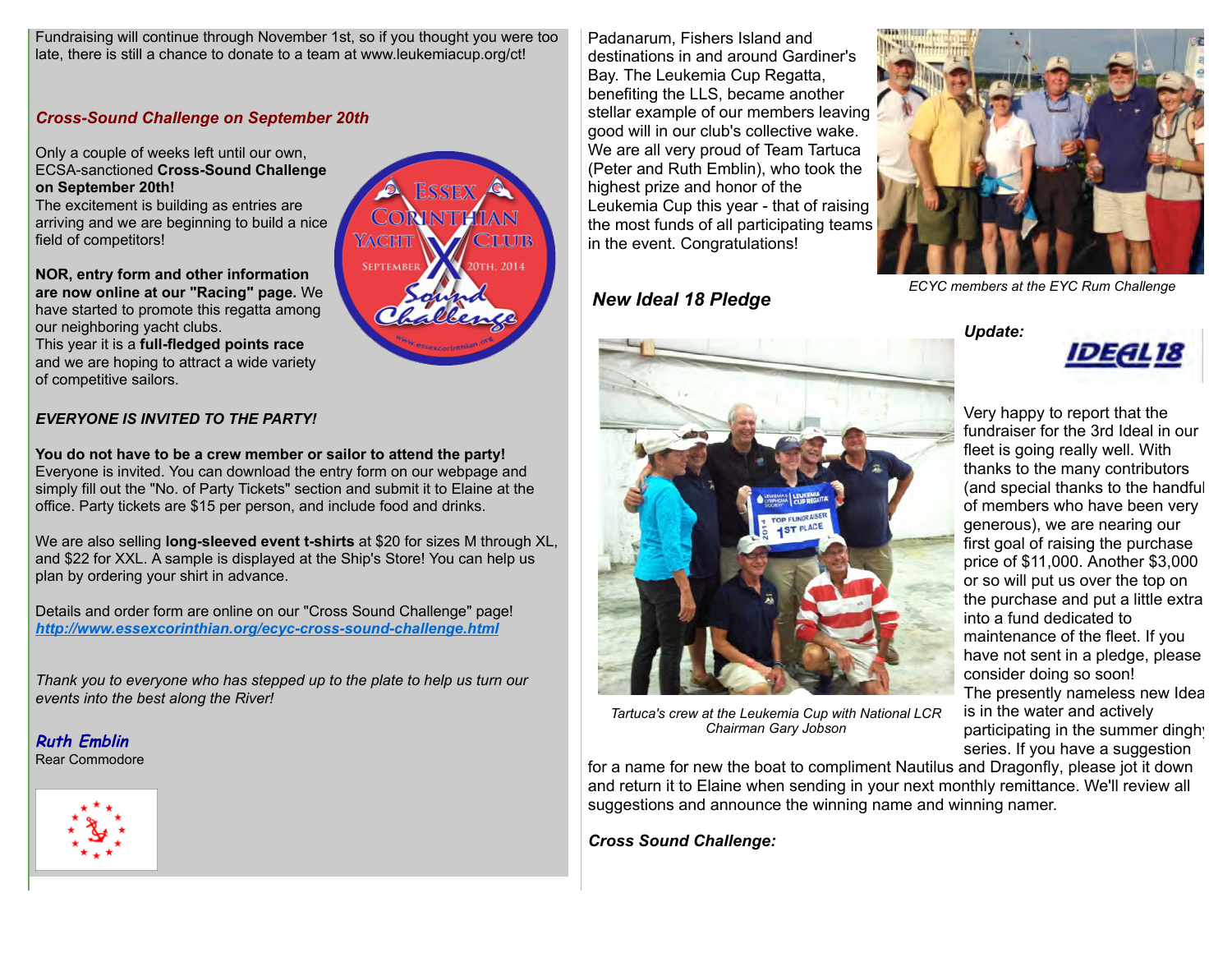Fundraising will continue through November 1st, so if you thought you were too late, there is still a chance to donate to a team at www.leukemiacup.org/ct!

#### *Cross-Sound Challenge on September 20th*

Only a couple of weeks left until our own, ECSA-sanctioned **Cross-Sound Challenge on September 20th!**

The excitement is building as entries are arriving and we are beginning to build a nice field of competitors!

**NOR, entry form and other information are now online at our "Racing" page.** We have started to promote this regatta among our neighboring yacht clubs.

This year it is a **full-fledged points race** and we are hoping to attract a wide variety of competitive sailors.

#### *EVERYONE IS INVITED TO THE PARTY!*

**You do not have to be a crew member or sailor to attend the party!** Everyone is invited. You can download the entry form on our webpage and simply fill out the "No. of Party Tickets" section and submit it to Elaine at the office. Party tickets are \$15 per person, and include food and drinks.

We are also selling **long-sleeved event t-shirts** at \$20 for sizes M through XL, and \$22 for XXL. A sample is displayed at the Ship's Store! You can help us plan by ordering your shirt in advance.

Details and order form are online on our "Cross Sound Challenge" page! *[http://www.essexcorinthian.org/ecyc-cross-sound-challenge.html](http://r20.rs6.net/tn.jsp?e=001RNYBZjcC5Wpx7TGIhtCMEf30X1HBmINZKCpInLdwx3GRVXogPSz0DO3IeVPcouwYg0zcKL4m6xSMf4bVuv7GVrLkiMBnk8Y93QP942ddjOxwd56S-w2hMBid2dw4cZDCKhJQhr8lZNLMbVZdgFCBW_MMBQyaC0TN)*

*Thank you to everyone who has stepped up to the plate to help us turn our events into the best along the River!* 

**Ruth Emblin**Rear Commodore





Padanarum, Fishers Island and destinations in and around Gardiner's Bay. The Leukemia Cup Regatta, benefiting the LLS, became another stellar example of our members leaving good will in our club's collective wake. We are all very proud of Team Tartuca (Peter and Ruth Emblin), who took the highest prize and honor of the Leukemia Cup this year - that of raising the most funds of all participating teams in the event. Congratulations!

*New Ideal 18 Pledge* 



*ECYC members at the EYC Rum Challenge*

*Update:* 



Very happy to report that the fundraiser for the 3rd Ideal in our fleet is going really well. With thanks to the many contributors (and special thanks to the handful of members who have been very generous), we are nearing our first goal of raising the purchase price of \$11,000. Another \$3,000 or so will put us over the top on the purchase and put a little extra into a fund dedicated to maintenance of the fleet. If you have not sent in a pledge, please consider doing so soon! The presently nameless new Ideal is in the water and actively participating in the summer dinghy series. If you have a suggestion

*Tartuca's crew at the Leukemia Cup with National LCR Chairman Gary Jobson*

for a name for new the boat to compliment Nautilus and Dragonfly, please jot it down and return it to Elaine when sending in your next monthly remittance. We'll review all suggestions and announce the winning name and winning namer.

*Cross Sound Challenge:*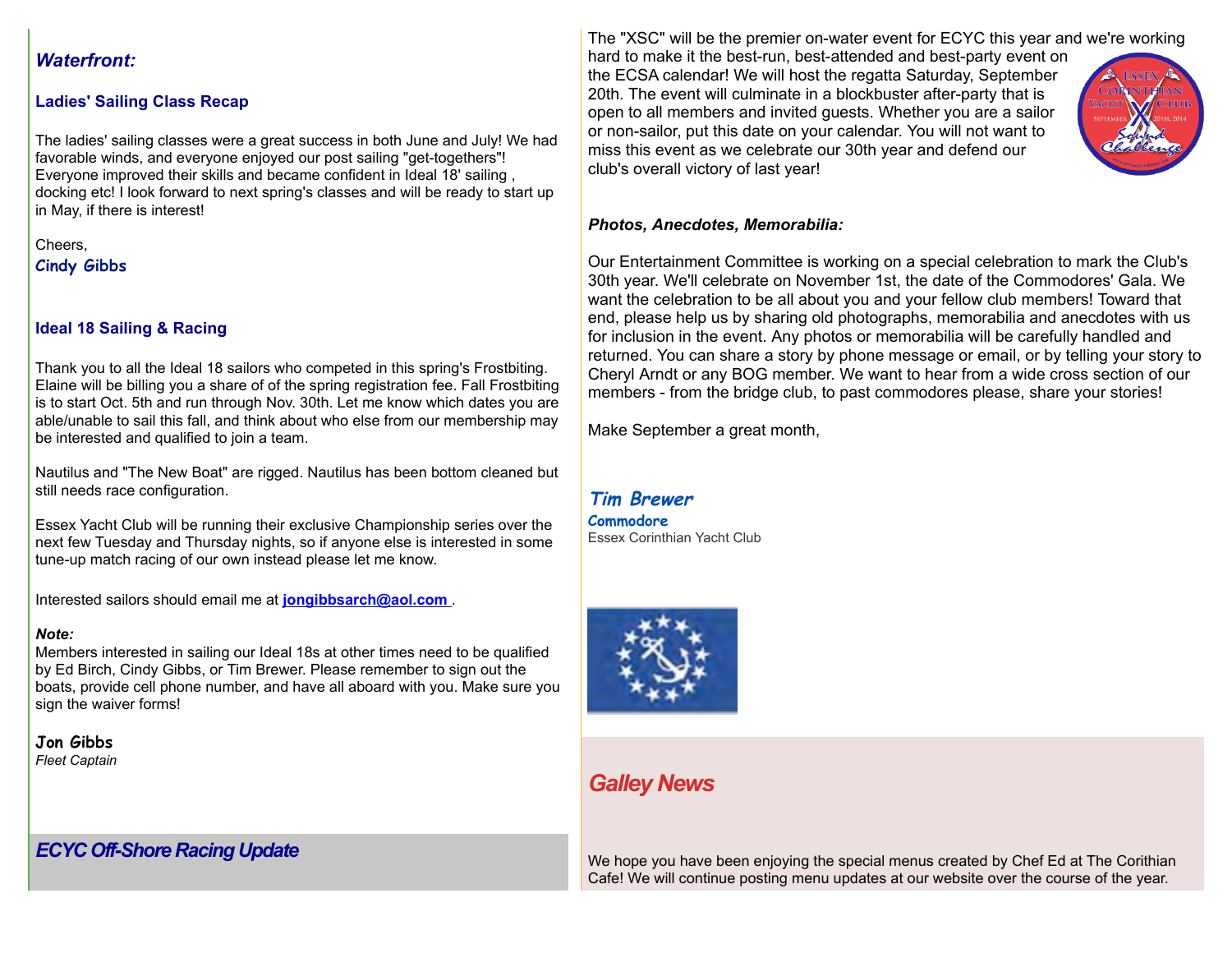### *Waterfront:*

### **Ladies' Sailing Class Recap**

The ladies' sailing classes were a great success in both June and July! We had favorable winds, and everyone enjoyed our post sailing "get-togethers"! Everyone improved their skills and became confident in Ideal 18' sailing , docking etc! I look forward to next spring's classes and will be ready to start up in May, if there is interest!

Cheers,

**Cindy Gibbs** 

### **Ideal 18 Sailing & Racing**

Thank you to all the Ideal 18 sailors who competed in this spring's Frostbiting. Elaine will be billing you a share of of the spring registration fee. Fall Frostbiting is to start Oct. 5th and run through Nov. 30th. Let me know which dates you are able/unable to sail this fall, and think about who else from our membership may be interested and qualified to join a team.

Nautilus and "The New Boat" are rigged. Nautilus has been bottom cleaned but still needs race configuration.

Essex Yacht Club will be running their exclusive Championship series over the next few Tuesday and Thursday nights, so if anyone else is interested in some tune-up match racing of our own instead please let me know.

Interested sailors should email me at **[jongibbsarch@aol.com](mailto:jongibbsarch@aol.com)** .

### *Note:*

Members interested in sailing our Ideal 18s at other times need to be qualified by Ed Birch, Cindy Gibbs, or Tim Brewer. Please remember to sign out the boats, provide cell phone number, and have all aboard with you. Make sure you sign the waiver forms!

**Jon Gibbs** *Fleet Captain* 

# *ECYC Off-Shore Racing Update*

The "XSC" will be the premier on-water event for ECYC this year and we're working

hard to make it the best-run, best-attended and best-party event on the ECSA calendar! We will host the regatta Saturday, September 20th. The event will culminate in a blockbuster after-party that is open to all members and invited guests. Whether you are a sailor or non-sailor, put this date on your calendar. You will not want to miss this event as we celebrate our 30th year and defend our club's overall victory of last year!



### *Photos, Anecdotes, Memorabilia:*

Our Entertainment Committee is working on a special celebration to mark the Club's 30th year. We'll celebrate on November 1st, the date of the Commodores' Gala. We want the celebration to be all about you and your fellow club members! Toward that end, please help us by sharing old photographs, memorabilia and anecdotes with us for inclusion in the event. Any photos or memorabilia will be carefully handled and returned. You can share a story by phone message or email, or by telling your story to Cheryl Arndt or any BOG member. We want to hear from a wide cross section of our members - from the bridge club, to past commodores please, share your stories!

Make September a great month,

#### **Tim Brewer Commodore** Essex Corinthian Yacht Club



# *Galley News*

We hope you have been enjoying the special menus created by Chef Ed at The Corithian Cafe! We will continue posting menu updates at our website over the course of the year.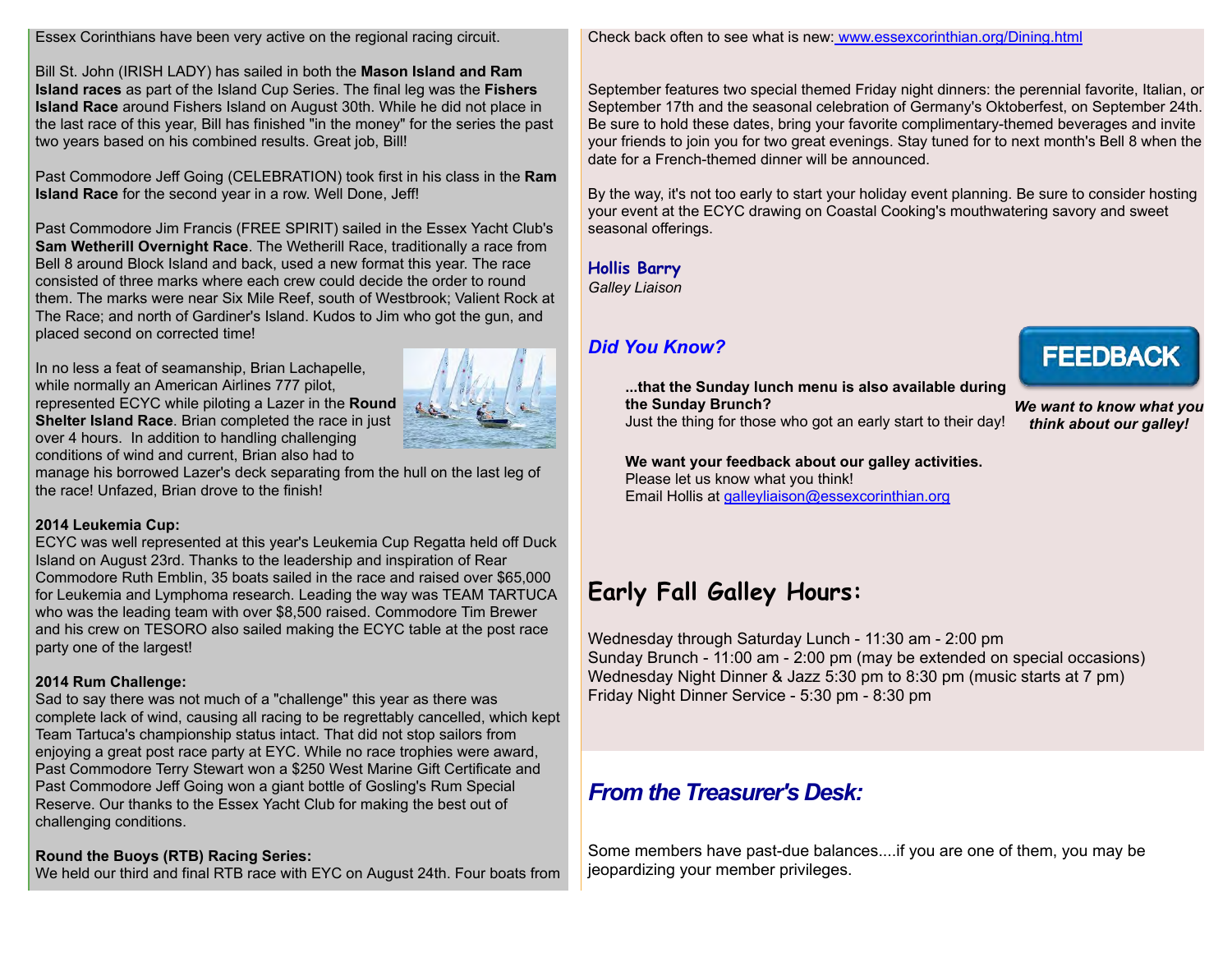#### Essex Corinthians have been very active on the regional racing circuit.

Bill St. John (IRISH LADY) has sailed in both the **Mason Island and Ram Island races** as part of the Island Cup Series. The final leg was the **Fishers Island Race** around Fishers Island on August 30th. While he did not place in the last race of this year, Bill has finished "in the money" for the series the past two years based on his combined results. Great job, Bill!

Past Commodore Jeff Going (CELEBRATION) took first in his class in the **Ram Island Race** for the second year in a row. Well Done, Jeff!

Past Commodore Jim Francis (FREE SPIRIT) sailed in the Essex Yacht Club's **Sam Wetherill Overnight Race**. The Wetherill Race, traditionally a race from Bell 8 around Block Island and back, used a new format this year. The race consisted of three marks where each crew could decide the order to round them. The marks were near Six Mile Reef, south of Westbrook; Valient Rock at The Race; and north of Gardiner's Island. Kudos to Jim who got the gun, and placed second on corrected time!

In no less a feat of seamanship, Brian Lachapelle, while normally an American Airlines 777 pilot. represented ECYC while piloting a Lazer in the **Round Shelter Island Race**. Brian completed the race in just over 4 hours. In addition to handling challenging conditions of wind and current, Brian also had to



manage his borrowed Lazer's deck separating from the hull on the last leg of the race! Unfazed, Brian drove to the finish!

#### **2014 Leukemia Cup:**

ECYC was well represented at this year's Leukemia Cup Regatta held off Duck Island on August 23rd. Thanks to the leadership and inspiration of Rear Commodore Ruth Emblin, 35 boats sailed in the race and raised over \$65,000 for Leukemia and Lymphoma research. Leading the way was TEAM TARTUCA who was the leading team with over \$8,500 raised. Commodore Tim Brewer and his crew on TESORO also sailed making the ECYC table at the post race party one of the largest!

### **2014 Rum Challenge:**

Sad to say there was not much of a "challenge" this year as there was complete lack of wind, causing all racing to be regrettably cancelled, which kept Team Tartuca's championship status intact. That did not stop sailors from enjoying a great post race party at EYC. While no race trophies were award, Past Commodore Terry Stewart won a \$250 West Marine Gift Certificate and Past Commodore Jeff Going won a giant bottle of Gosling's Rum Special Reserve. Our thanks to the Essex Yacht Club for making the best out of challenging conditions.

### **Round the Buoys (RTB) Racing Series:**

We held our third and final RTB race with EYC on August 24th. Four boats from

Check back often to see what is new[: www.essexcorinthian.org/Dining.html](http://r20.rs6.net/tn.jsp?e=001RNYBZjcC5Wpx7TGIhtCMEf30X1HBmINZKCpInLdwx3GRVXogPSz0DO3IeVPcouwYg0zcKL4m6xSMf4bVuv7GVrLkiMBnk8Y93QP942ddjOxNl3vPQvt_4Sy-utGQEt7C)

September features two special themed Friday night dinners: the perennial favorite, Italian, or September 17th and the seasonal celebration of Germany's Oktoberfest, on September 24th. Be sure to hold these dates, bring your favorite complimentary-themed beverages and invite your friends to join you for two great evenings. Stay tuned for to next month's Bell 8 when the date for a French-themed dinner will be announced.

By the way, it's not too early to start your holiday event planning. Be sure to consider hosting your event at the ECYC drawing on Coastal Cooking's mouthwatering savory and sweet seasonal offerings.

### **Hollis Barry**

*Galley Liaison*

# *Did You Know?*

**...that the Sunday lunch menu is also available during the Sunday Brunch?** Just the thing for those who got an early start to their day! **FEEDBACK** 

*We want to know what you think about our galley!*

**We want your feedback about our galley activities.** Please let us know what you think! Email Hollis at [galleyliaison@essexcorinthian.org](mailto:galleyliaison@essexcorinthian.org)

# **Early Fall Galley Hours:**

Wednesday through Saturday Lunch - 11:30 am - 2:00 pm Sunday Brunch - 11:00 am - 2:00 pm (may be extended on special occasions) Wednesday Night Dinner & Jazz 5:30 pm to 8:30 pm (music starts at 7 pm) Friday Night Dinner Service - 5:30 pm - 8:30 pm

# *From the Treasurer's Desk:*

Some members have past-due balances....if you are one of them, you may be jeopardizing your member privileges.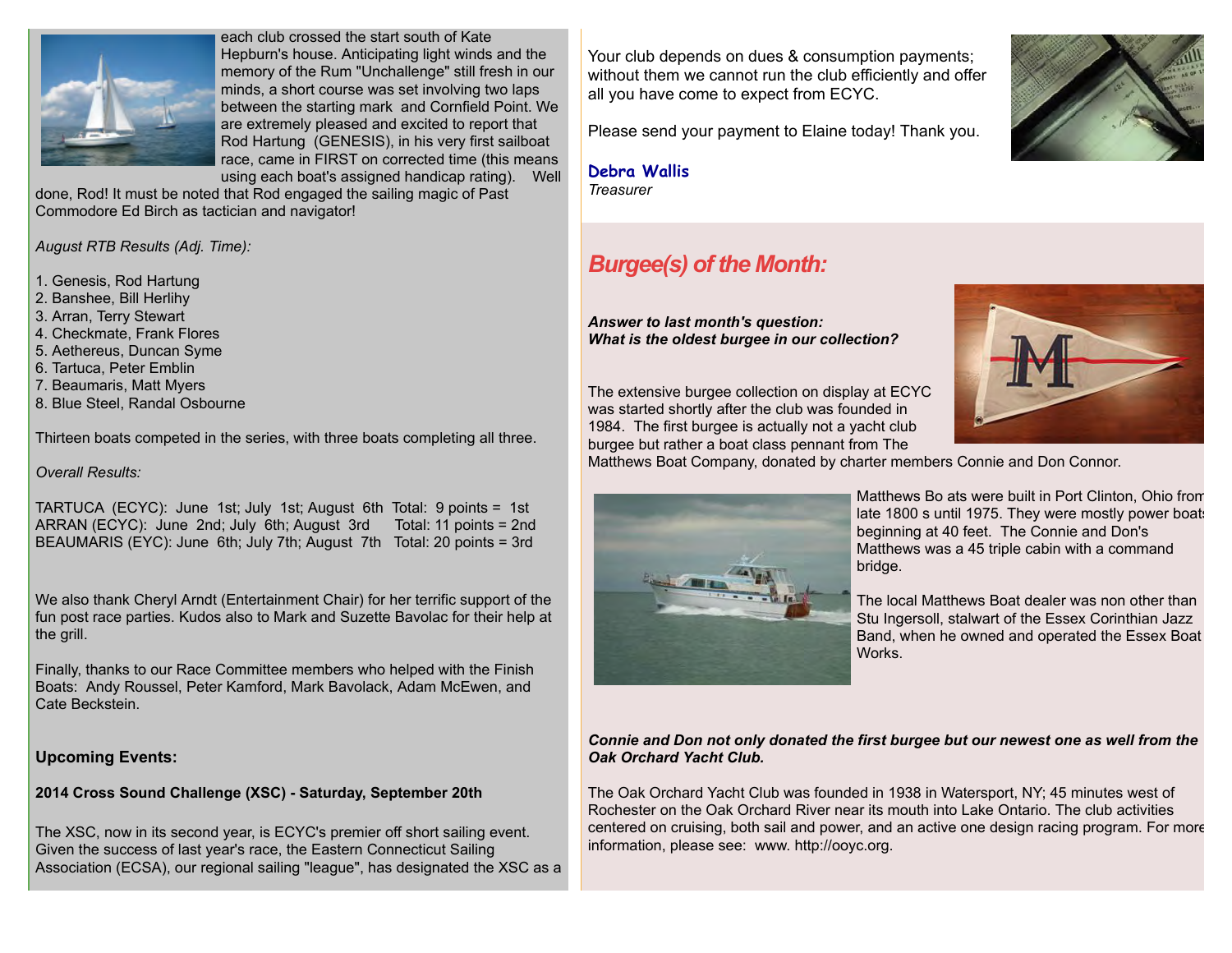

each club crossed the start south of Kate Hepburn's house. Anticipating light winds and the memory of the Rum "Unchallenge" still fresh in our minds, a short course was set involving two laps between the starting mark and Cornfield Point. We are extremely pleased and excited to report that Rod Hartung (GENESIS), in his very first sailboat race, came in FIRST on corrected time (this means using each boat's assigned handicap rating). Well

done, Rod! It must be noted that Rod engaged the sailing magic of Past Commodore Ed Birch as tactician and navigator!

*August RTB Results (Adj. Time):*

1. Genesis, Rod Hartung

- 2. Banshee, Bill Herlihy
- 3. Arran, Terry Stewart
- 4. Checkmate, Frank Flores
- 5. Aethereus, Duncan Syme
- 6. Tartuca, Peter Emblin
- 7. Beaumaris, Matt Myers
- 8. Blue Steel, Randal Osbourne

Thirteen boats competed in the series, with three boats completing all three.

#### *Overall Results:*

TARTUCA (ECYC): June 1st; July 1st; August 6th Total: 9 points = 1st ARRAN (ECYC): June 2nd; July 6th; August 3rd Total: 11 points = 2nd BEAUMARIS (EYC): June 6th; July 7th; August 7th Total: 20 points = 3rd

We also thank Cheryl Arndt (Entertainment Chair) for her terrific support of the fun post race parties. Kudos also to Mark and Suzette Bavolac for their help at the grill.

Finally, thanks to our Race Committee members who helped with the Finish Boats: Andy Roussel, Peter Kamford, Mark Bavolack, Adam McEwen, and Cate Beckstein.

#### **Upcoming Events:**

#### **2014 Cross Sound Challenge (XSC) - Saturday, September 20th**

The XSC, now in its second year, is ECYC's premier off short sailing event. Given the success of last year's race, the Eastern Connecticut Sailing Association (ECSA), our regional sailing "league", has designated the XSC as a

Your club depends on dues & consumption payments; without them we cannot run the club efficiently and offer all you have come to expect from ECYC.

Please send your payment to Elaine today! Thank you.

**Debra Wallis** *Treasurer*

# *Burgee(s) of the Month:*

*Answer to last month's question: What is the oldest burgee in our collection?* 

The extensive burgee collection on display at ECYC was started shortly after the club was founded in 1984. The first burgee is actually not a yacht club burgee but rather a boat class pennant from The



Matthews Boat Company, donated by charter members Connie and Don Connor.



Matthews Bo ats were built in Port Clinton, Ohio from late 1800 s until 1975. They were mostly power boats beginning at 40 feet. The Connie and Don's Matthews was a 45 triple cabin with a command bridge.

The local Matthews Boat dealer was non other than Stu Ingersoll, stalwart of the Essex Corinthian Jazz Band, when he owned and operated the Essex Boat **Works** 

#### *Connie and Don not only donated the first burgee but our newest one as well from the Oak Orchard Yacht Club.*

The Oak Orchard Yacht Club was founded in 1938 in Watersport, NY; 45 minutes west of Rochester on the Oak Orchard River near its mouth into Lake Ontario. The club activities centered on cruising, both sail and power, and an active one design racing program. For more information, please see: www. http://ooyc.org.

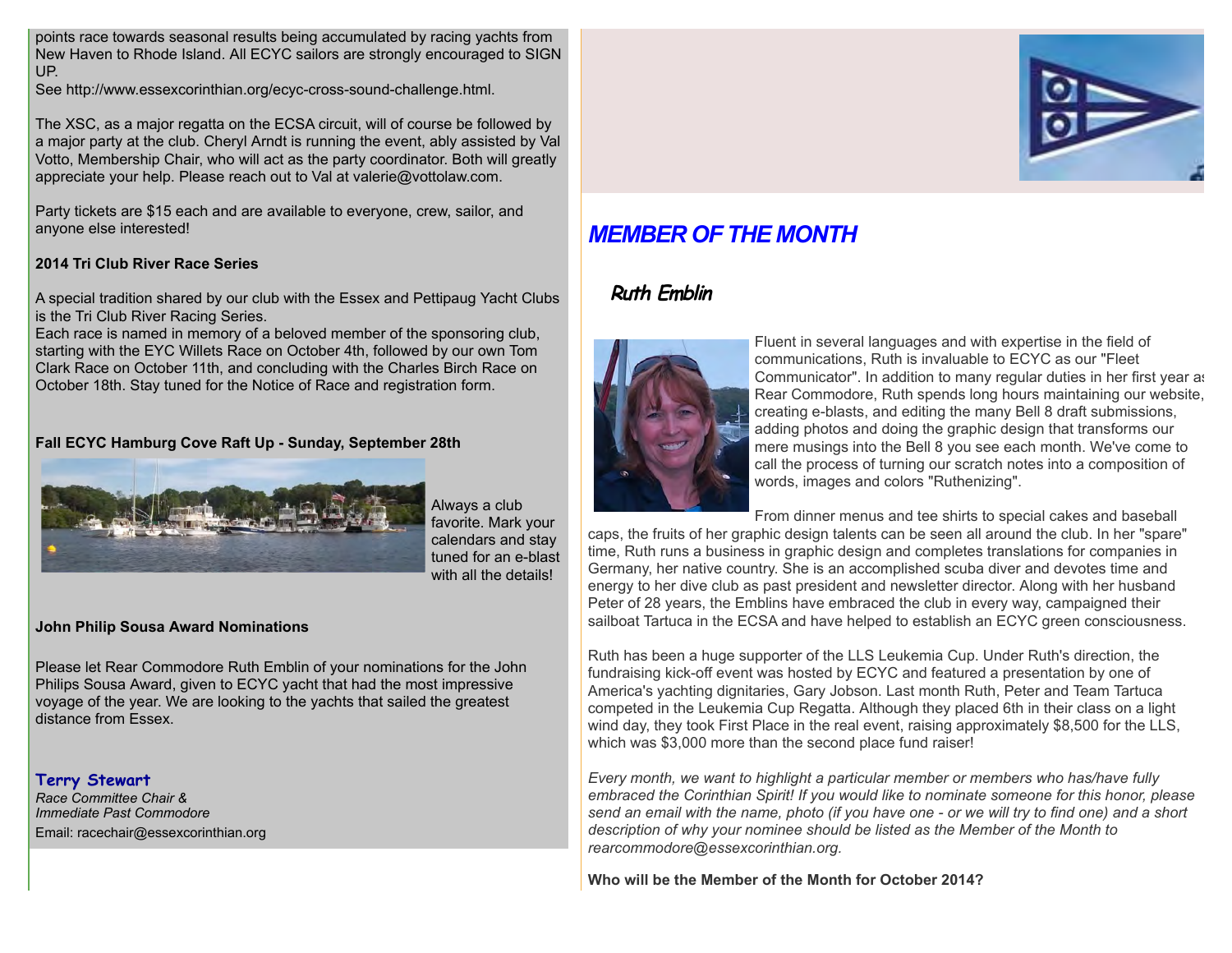points race towards seasonal results being accumulated by racing yachts from New Haven to Rhode Island. All ECYC sailors are strongly encouraged to SIGN UP.

See http://www.essexcorinthian.org/ecyc-cross-sound-challenge.html.

The XSC, as a major regatta on the ECSA circuit, will of course be followed by a major party at the club. Cheryl Arndt is running the event, ably assisted by Val Votto, Membership Chair, who will act as the party coordinator. Both will greatly appreciate your help. Please reach out to Val at valerie@vottolaw.com.

Party tickets are \$15 each and are available to everyone, crew, sailor, and anyone else interested!

#### **2014 Tri Club River Race Series**

A special tradition shared by our club with the Essex and Pettipaug Yacht Clubs is the Tri Club River Racing Series.

Each race is named in memory of a beloved member of the sponsoring club, starting with the EYC Willets Race on October 4th, followed by our own Tom Clark Race on October 11th, and concluding with the Charles Birch Race on October 18th. Stay tuned for the Notice of Race and registration form.

#### **Fall ECYC Hamburg Cove Raft Up - Sunday, September 28th**



Always a club favorite. Mark your calendars and stay tuned for an e-blast with all the details!

**John Philip Sousa Award Nominations**

Please let Rear Commodore Ruth Emblin of your nominations for the John Philips Sousa Award, given to ECYC yacht that had the most impressive voyage of the year. We are looking to the yachts that sailed the greatest distance from Essex.

#### **Terry Stewart**

*Race Committee Chair & Immediate Past Commodore* Email: racechair@essexcorinthian.org



# *MEMBER OF THE MONTH*

## **Ruth Emblin**



Fluent in several languages and with expertise in the field of communications, Ruth is invaluable to ECYC as our "Fleet Communicator". In addition to many regular duties in her first year as Rear Commodore, Ruth spends long hours maintaining our website, creating e-blasts, and editing the many Bell 8 draft submissions, adding photos and doing the graphic design that transforms our mere musings into the Bell 8 you see each month. We've come to call the process of turning our scratch notes into a composition of words, images and colors "Ruthenizing".

From dinner menus and tee shirts to special cakes and baseball

caps, the fruits of her graphic design talents can be seen all around the club. In her "spare" time, Ruth runs a business in graphic design and completes translations for companies in Germany, her native country. She is an accomplished scuba diver and devotes time and energy to her dive club as past president and newsletter director. Along with her husband Peter of 28 years, the Emblins have embraced the club in every way, campaigned their sailboat Tartuca in the ECSA and have helped to establish an ECYC green consciousness.

Ruth has been a huge supporter of the LLS Leukemia Cup. Under Ruth's direction, the fundraising kick-off event was hosted by ECYC and featured a presentation by one of America's yachting dignitaries, Gary Jobson. Last month Ruth, Peter and Team Tartuca competed in the Leukemia Cup Regatta. Although they placed 6th in their class on a light wind day, they took First Place in the real event, raising approximately \$8,500 for the LLS, which was \$3,000 more than the second place fund raiser!

*Every month, we want to highlight a particular member or members who has/have fully embraced the Corinthian Spirit! If you would like to nominate someone for this honor, please send an email with the name, photo (if you have one - or we will try to find one) and a short description of why your nominee should be listed as the Member of the Month to rearcommodore@essexcorinthian.org.*

**Who will be the Member of the Month for October 2014?**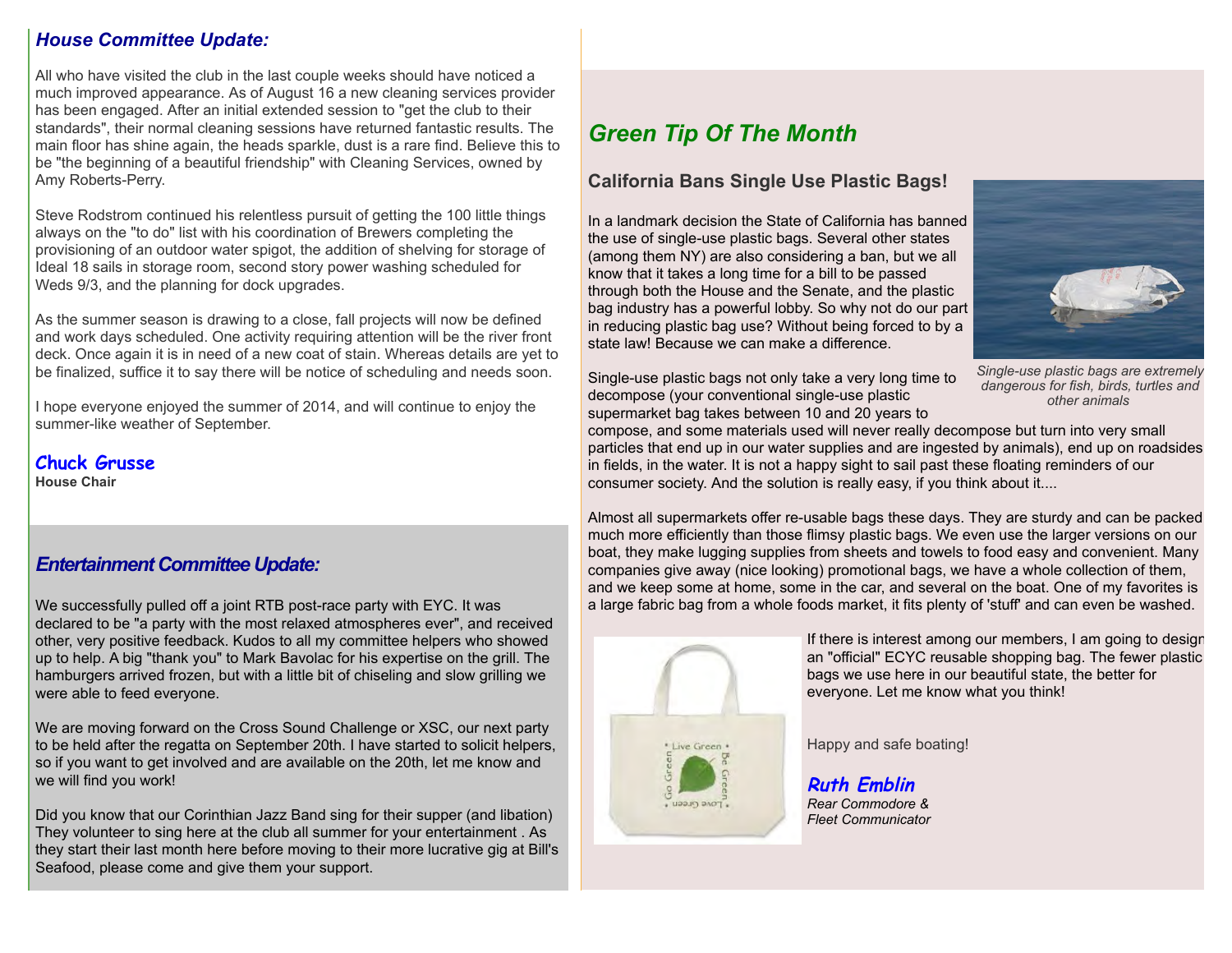### *House Committee Update:*

All who have visited the club in the last couple weeks should have noticed a much improved appearance. As of August 16 a new cleaning services provider has been engaged. After an initial extended session to "get the club to their standards", their normal cleaning sessions have returned fantastic results. The main floor has shine again, the heads sparkle, dust is a rare find. Believe this to be "the beginning of a beautiful friendship" with Cleaning Services, owned by Amy Roberts-Perry.

Steve Rodstrom continued his relentless pursuit of getting the 100 little things always on the "to do" list with his coordination of Brewers completing the provisioning of an outdoor water spigot, the addition of shelving for storage of Ideal 18 sails in storage room, second story power washing scheduled for Weds 9/3, and the planning for dock upgrades.

As the summer season is drawing to a close, fall projects will now be defined and work days scheduled. One activity requiring attention will be the river front deck. Once again it is in need of a new coat of stain. Whereas details are yet to be finalized, suffice it to say there will be notice of scheduling and needs soon.

I hope everyone enjoyed the summer of 2014, and will continue to enjoy the summer-like weather of September.

**Chuck Grusse House Chair**

### *Entertainment Committee Update:*

We successfully pulled off a joint RTB post-race party with EYC. It was declared to be "a party with the most relaxed atmospheres ever", and received other, very positive feedback. Kudos to all my committee helpers who showed up to help. A big "thank you" to Mark Bavolac for his expertise on the grill. The hamburgers arrived frozen, but with a little bit of chiseling and slow grilling we were able to feed everyone.

We are moving forward on the Cross Sound Challenge or XSC, our next party to be held after the regatta on September 20th. I have started to solicit helpers, so if you want to get involved and are available on the 20th, let me know and we will find you work!

Did you know that our Corinthian Jazz Band sing for their supper (and libation) They volunteer to sing here at the club all summer for your entertainment . As they start their last month here before moving to their more lucrative gig at Bill's Seafood, please come and give them your support.

# *Green Tip Of The Month*

### **California Bans Single Use Plastic Bags!**

In a landmark decision the State of California has banned the use of single-use plastic bags. Several other states (among them NY) are also considering a ban, but we all know that it takes a long time for a bill to be passed through both the House and the Senate, and the plastic bag industry has a powerful lobby. So why not do our part in reducing plastic bag use? Without being forced to by a state law! Because we can make a difference.



*Single-use plastic bags are extremely dangerous for fish, birds, turtles and other animals*

compose, and some materials used will never really decompose but turn into very small particles that end up in our water supplies and are ingested by animals), end up on roadsides in fields, in the water. It is not a happy sight to sail past these floating reminders of our consumer society. And the solution is really easy, if you think about it....

Almost all supermarkets offer re-usable bags these days. They are sturdy and can be packed much more efficiently than those flimsy plastic bags. We even use the larger versions on our boat, they make lugging supplies from sheets and towels to food easy and convenient. Many companies give away (nice looking) promotional bags, we have a whole collection of them, and we keep some at home, some in the car, and several on the boat. One of my favorites is a large fabric bag from a whole foods market, it fits plenty of 'stuff' and can even be washed.



If there is interest among our members, I am going to design an "official" ECYC reusable shopping bag. The fewer plastic bags we use here in our beautiful state, the better for everyone. Let me know what you think!

Happy and safe boating!

**Ruth Emblin** *Rear Commodore & Fleet Communicator*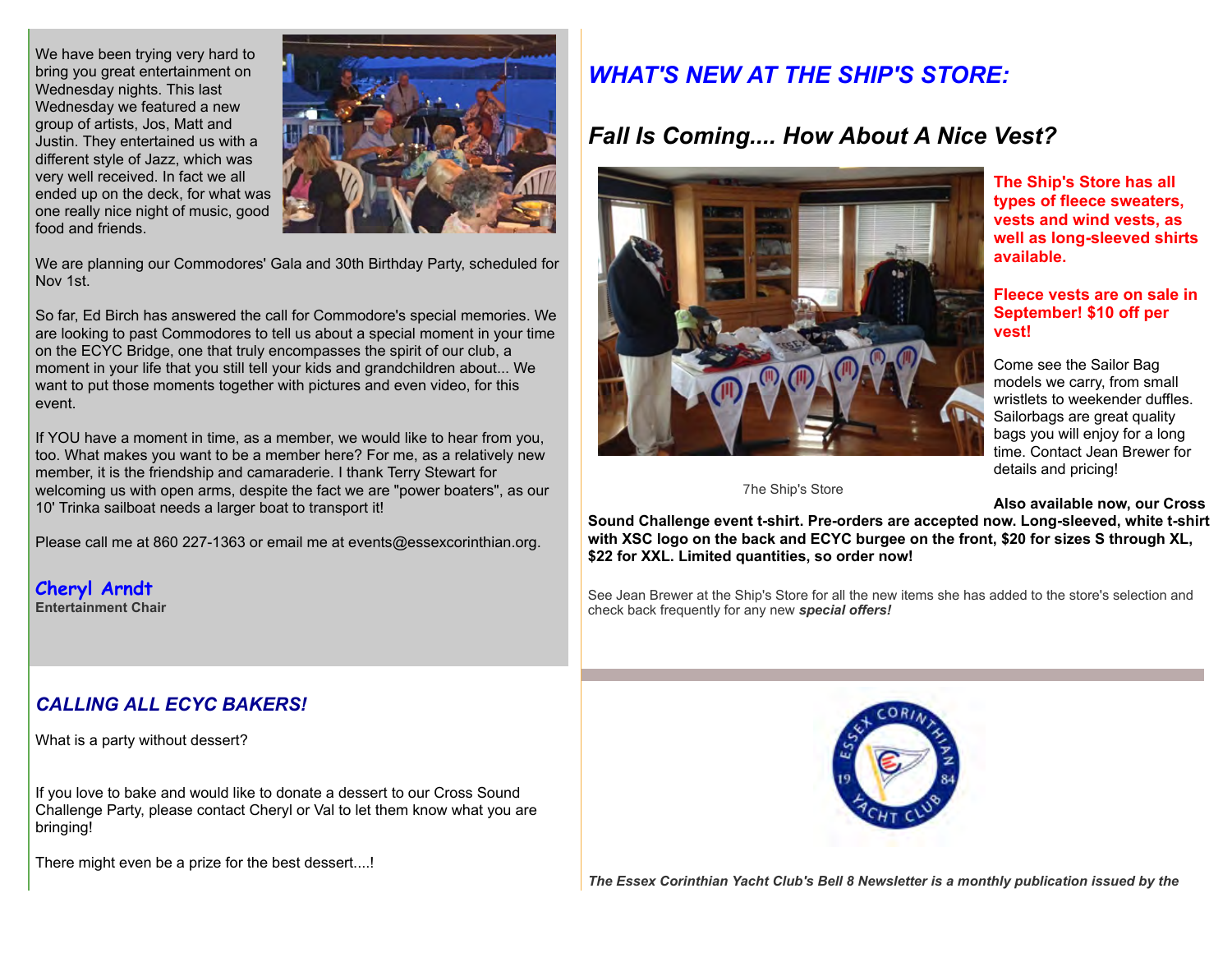We have been trying very hard to bring you great entertainment on Wednesday nights. This last Wednesday we featured a new group of artists, Jos, Matt and Justin. They entertained us with a different style of Jazz, which was very well received. In fact we all ended up on the deck, for what was one really nice night of music, good food and friends.



We are planning our Commodores' Gala and 30th Birthday Party, scheduled for Nov 1st.

So far, Ed Birch has answered the call for Commodore's special memories. We are looking to past Commodores to tell us about a special moment in your time on the ECYC Bridge, one that truly encompasses the spirit of our club, a moment in your life that you still tell your kids and grandchildren about... We want to put those moments together with pictures and even video, for this event.

If YOU have a moment in time, as a member, we would like to hear from you, too. What makes you want to be a member here? For me, as a relatively new member, it is the friendship and camaraderie. I thank Terry Stewart for welcoming us with open arms, despite the fact we are "power boaters", as our 10' Trinka sailboat needs a larger boat to transport it!

Please call me at 860 227-1363 or email me at events@essexcorinthian.org.

**Cheryl Arndt Entertainment Chair**

### *CALLING ALL ECYC BAKERS!*

What is a party without dessert?

If you love to bake and would like to donate a dessert to our Cross Sound Challenge Party, please contact Cheryl or Val to let them know what you are bringing!

There might even be a prize for the best dessert....!

# *WHAT'S NEW AT THE SHIP'S STORE:*

# *Fall Is Coming.... How About A Nice Vest?*



**Vhe Ship's Store** 

**The Ship's Store has all types of fleece sweaters, vests and wind vests, as well as long-sleeved shirts available.** 

#### **Fleece vests are on sale in September! \$10 off per vest!**

Come see the Sailor Bag models we carry, from small wristlets to weekender duffles. Sailorbags are great quality bags you will enjoy for a long time. Contact Jean Brewer for details and pricing!

**Also available now, our Cross**

**Sound Challenge event t-shirt. Pre-orders are accepted now. Long-sleeved, white t-shirt with XSC logo on the back and ECYC burgee on the front, \$20 for sizes S through XL, \$22 for XXL. Limited quantities, so order now!**

See Jean Brewer at the Ship's Store for all the new items she has added to the store's selection and check back frequently for any new *special offers!*



*The Essex Corinthian Yacht Club's Bell 8 Newsletter is a monthly publication issued by the*